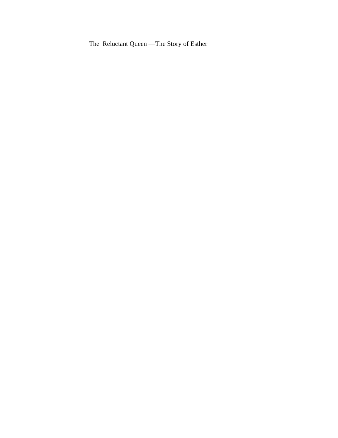The Reluctant Queen —The Story of Esther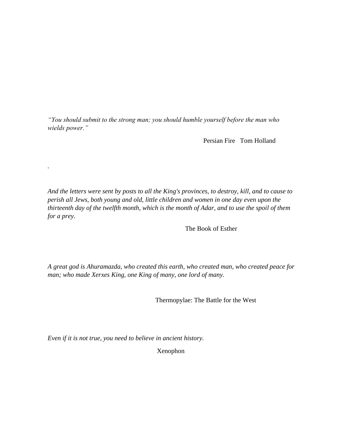*"You should submit to the strong man; you should humble yourself before the man who wields power."*

Persian Fire Tom Holland

*And the letters were sent by posts to all the King's provinces, to destroy, kill, and to cause to perish all Jews, both young and old, little children and women in one day even upon the thirteenth day of the twelfth month, which is the month of Adar, and to use the spoil of them for a prey*.

The Book of Esther

*A great god is Ahuramazda, who created this earth, who created man, who created peace for man; who made Xerxes King, one King of many, one lord of many.*

Thermopylae: The Battle for the West

*Even if it is not true, you need to believe in ancient history.*

*.* 

Xenophon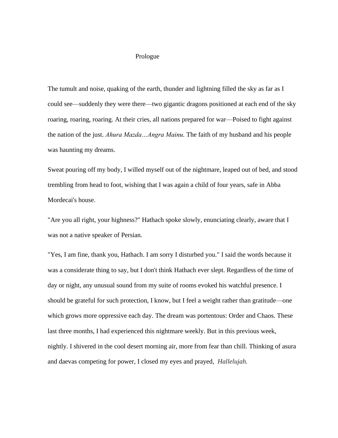## Prologue

The tumult and noise, quaking of the earth, thunder and lightning filled the sky as far as I could see—suddenly they were there—two gigantic dragons positioned at each end of the sky roaring, roaring, roaring. At their cries, all nations prepared for war—Poised to fight against the nation of the just. *Ahura Mazda…Angra Mainu.* The faith of my husband and his people was haunting my dreams.

Sweat pouring off my body, I willed myself out of the nightmare, leaped out of bed, and stood trembling from head to foot, wishing that I was again a child of four years, safe in Abba Mordecai's house.

"Are you all right, your highness?" Hathach spoke slowly, enunciating clearly, aware that I was not a native speaker of Persian.

"Yes, I am fine, thank you, Hathach. I am sorry I disturbed you." I said the words because it was a considerate thing to say, but I don't think Hathach ever slept. Regardless of the time of day or night, any unusual sound from my suite of rooms evoked his watchful presence. I should be grateful for such protection, I know, but I feel a weight rather than gratitude—one which grows more oppressive each day. The dream was portentous: Order and Chaos. These last three months, I had experienced this nightmare weekly. But in this previous week, nightly. I shivered in the cool desert morning air, more from fear than chill. Thinking of asura and daevas competing for power, I closed my eyes and prayed, *Hallelujah.*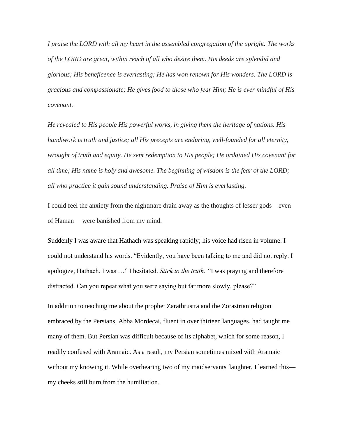*I praise the LORD with all my heart in the assembled congregation of the upright. The works of the LORD are great, within reach of all who desire them. His deeds are splendid and glorious; His beneficence is everlasting; He has won renown for His wonders. The LORD is gracious and compassionate; He gives food to those who fear Him; He is ever mindful of His covenant.* 

*He revealed to His people His powerful works, in giving them the heritage of nations. His handiwork is truth and justice; all His precepts are enduring, well-founded for all eternity, wrought of truth and equity. He sent redemption to His people; He ordained His covenant for all time; His name is holy and awesome. The beginning of wisdom is the fear of the LORD; all who practice it gain sound understanding. Praise of Him is everlasting*.

I could feel the anxiety from the nightmare drain away as the thoughts of lesser gods—even of Haman— were banished from my mind.

Suddenly I was aware that Hathach was speaking rapidly; his voice had risen in volume. I could not understand his words. "Evidently, you have been talking to me and did not reply. I apologize, Hathach. I was …" I hesitated. *Stick to the truth. "*I was praying and therefore distracted. Can you repeat what you were saying but far more slowly, please?"

In addition to teaching me about the prophet Zarathrustra and the Zorastrian religion embraced by the Persians, Abba Mordecai, fluent in over thirteen languages, had taught me many of them. But Persian was difficult because of its alphabet, which for some reason, I readily confused with Aramaic. As a result, my Persian sometimes mixed with Aramaic without my knowing it. While overhearing two of my maidservants' laughter, I learned this my cheeks still burn from the humiliation.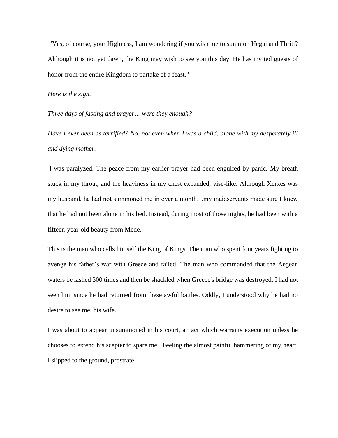"Yes, of course, your Highness, I am wondering if you wish me to summon Hegai and Thriti? Although it is not yet dawn, the King may wish to see you this day. He has invited guests of honor from the entire Kingdom to partake of a feast."

## *Here is the sign.*

*Three days of fasting and prayer… were they enough?* 

*Have I ever been as terrified? No, not even when I was a child, alone with my desperately ill and dying mother.*

I was paralyzed. The peace from my earlier prayer had been engulfed by panic. My breath stuck in my throat, and the heaviness in my chest expanded, vise-like. Although Xerxes was my husband, he had not summoned me in over a month…my maidservants made sure I knew that he had not been alone in his bed. Instead, during most of those nights, he had been with a fifteen-year-old beauty from Mede.

This is the man who calls himself the King of Kings. The man who spent four years fighting to avenge his father's war with Greece and failed. The man who commanded that the Aegean waters be lashed 300 times and then be shackled when Greece's bridge was destroyed. I had not seen him since he had returned from these awful battles. Oddly, I understood why he had no desire to see me, his wife.

I was about to appear unsummoned in his court, an act which warrants execution unless he chooses to extend his scepter to spare me. Feeling the almost painful hammering of my heart, I slipped to the ground, prostrate.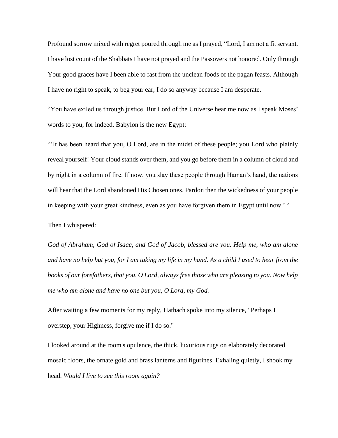Profound sorrow mixed with regret poured through me as I prayed, "Lord, I am not a fit servant. I have lost count of the Shabbats I have not prayed and the Passovers not honored. Only through Your good graces have I been able to fast from the unclean foods of the pagan feasts. Although I have no right to speak, to beg your ear, I do so anyway because I am desperate.

"You have exiled us through justice. But Lord of the Universe hear me now as I speak Moses' words to you, for indeed, Babylon is the new Egypt:

"'It has been heard that you, O Lord, are in the midst of these people; you Lord who plainly reveal yourself! Your cloud stands over them, and you go before them in a column of cloud and by night in a column of fire. If now, you slay these people through Haman's hand, the nations will hear that the Lord abandoned His Chosen ones. Pardon then the wickedness of your people in keeping with your great kindness, even as you have forgiven them in Egypt until now.' "

Then I whispered:

*God of Abraham, God of Isaac, and God of Jacob, blessed are you. Help me, who am alone and have no help but you, for I am taking my life in my hand. As a child I used to hear from the books of our forefathers, that you, O Lord, always free those who are pleasing to you. Now help me who am alone and have no one but you, O Lord, my God.*

After waiting a few moments for my reply, Hathach spoke into my silence, "Perhaps I overstep, your Highness, forgive me if I do so."

I looked around at the room's opulence, the thick, luxurious rugs on elaborately decorated mosaic floors, the ornate gold and brass lanterns and figurines. Exhaling quietly, I shook my head. *Would I live to see this room again?*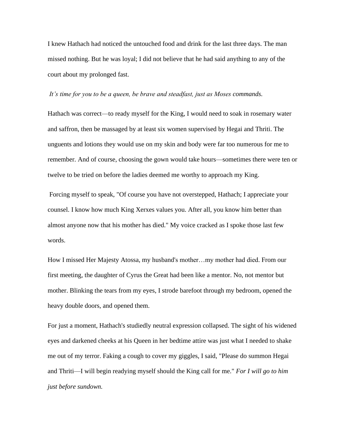I knew Hathach had noticed the untouched food and drink for the last three days. The man missed nothing. But he was loyal; I did not believe that he had said anything to any of the court about my prolonged fast.

## *It's time for you to be a queen, be brave and steadfast, just as Moses commands.*

Hathach was correct—to ready myself for the King, I would need to soak in rosemary water and saffron, then be massaged by at least six women supervised by Hegai and Thriti. The unguents and lotions they would use on my skin and body were far too numerous for me to remember. And of course, choosing the gown would take hours—sometimes there were ten or twelve to be tried on before the ladies deemed me worthy to approach my King.

Forcing myself to speak, "Of course you have not overstepped, Hathach; I appreciate your counsel. I know how much King Xerxes values you. After all, you know him better than almost anyone now that his mother has died." My voice cracked as I spoke those last few words.

How I missed Her Majesty Atossa, my husband's mother…my mother had died. From our first meeting, the daughter of Cyrus the Great had been like a mentor. No, not mentor but mother. Blinking the tears from my eyes, I strode barefoot through my bedroom, opened the heavy double doors, and opened them.

For just a moment, Hathach's studiedly neutral expression collapsed. The sight of his widened eyes and darkened cheeks at his Queen in her bedtime attire was just what I needed to shake me out of my terror. Faking a cough to cover my giggles, I said, "Please do summon Hegai and Thriti—I will begin readying myself should the King call for me." *For I will go to him just before sundown.*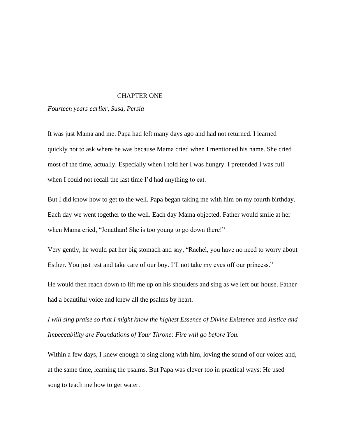## CHAPTER ONE

*Fourteen years earlier, Susa, Persia*

It was just Mama and me. Papa had left many days ago and had not returned. I learned quickly not to ask where he was because Mama cried when I mentioned his name. She cried most of the time, actually. Especially when I told her I was hungry. I pretended I was full when I could not recall the last time I'd had anything to eat.

But I did know how to get to the well. Papa began taking me with him on my fourth birthday. Each day we went together to the well. Each day Mama objected. Father would smile at her when Mama cried, "Jonathan! She is too young to go down there!"

Very gently, he would pat her big stomach and say, "Rachel, you have no need to worry about Esther. You just rest and take care of our boy. I'll not take my eyes off our princess."

He would then reach down to lift me up on his shoulders and sing as we left our house. Father had a beautiful voice and knew all the psalms by heart.

*I will sing praise so that I might know the highest Essence of Divine Existence* and *Justice and Impeccability are Foundations of Your Throne: Fire will go before You.*

Within a few days, I knew enough to sing along with him, loving the sound of our voices and, at the same time, learning the psalms. But Papa was clever too in practical ways: He used song to teach me how to get water.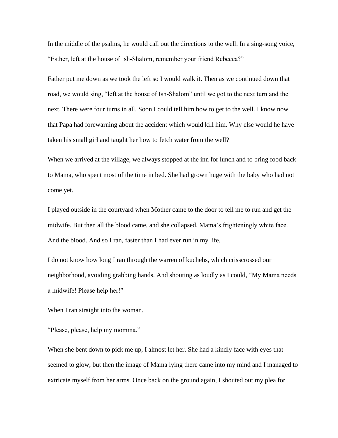In the middle of the psalms, he would call out the directions to the well. In a sing-song voice, "Esther, left at the house of Ish-Shalom, remember your friend Rebecca?"

Father put me down as we took the left so I would walk it. Then as we continued down that road, we would sing, "left at the house of Ish-Shalom" until we got to the next turn and the next. There were four turns in all. Soon I could tell him how to get to the well. I know now that Papa had forewarning about the accident which would kill him. Why else would he have taken his small girl and taught her how to fetch water from the well?

When we arrived at the village, we always stopped at the inn for lunch and to bring food back to Mama, who spent most of the time in bed. She had grown huge with the baby who had not come yet.

I played outside in the courtyard when Mother came to the door to tell me to run and get the midwife. But then all the blood came, and she collapsed. Mama's frighteningly white face. And the blood. And so I ran, faster than I had ever run in my life.

I do not know how long I ran through the warren of kuchehs, which crisscrossed our neighborhood, avoiding grabbing hands. And shouting as loudly as I could, "My Mama needs a midwife! Please help her!"

When I ran straight into the woman.

"Please, please, help my momma."

When she bent down to pick me up, I almost let her. She had a kindly face with eyes that seemed to glow, but then the image of Mama lying there came into my mind and I managed to extricate myself from her arms. Once back on the ground again, I shouted out my plea for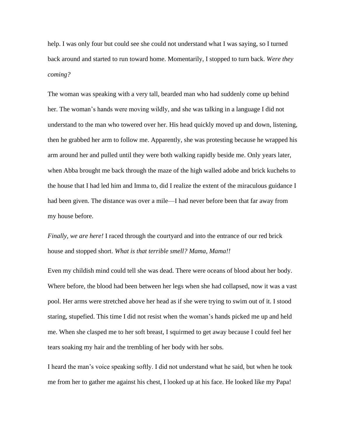help. I was only four but could see she could not understand what I was saying, so I turned back around and started to run toward home. Momentarily, I stopped to turn back. *Were they coming?*

The woman was speaking with a very tall, bearded man who had suddenly come up behind her. The woman's hands were moving wildly, and she was talking in a language I did not understand to the man who towered over her. His head quickly moved up and down, listening, then he grabbed her arm to follow me. Apparently, she was protesting because he wrapped his arm around her and pulled until they were both walking rapidly beside me. Only years later, when Abba brought me back through the maze of the high walled adobe and brick kuchehs to the house that I had led him and Imma to, did I realize the extent of the miraculous guidance I had been given. The distance was over a mile—I had never before been that far away from my house before.

*Finally, we are here!* I raced through the courtyard and into the entrance of our red brick house and stopped short. *What is that terrible smell? Mama, Mama!!*

Even my childish mind could tell she was dead. There were oceans of blood about her body. Where before, the blood had been between her legs when she had collapsed, now it was a vast pool. Her arms were stretched above her head as if she were trying to swim out of it. I stood staring, stupefied. This time I did not resist when the woman's hands picked me up and held me. When she clasped me to her soft breast, I squirmed to get away because I could feel her tears soaking my hair and the trembling of her body with her sobs.

I heard the man's voice speaking softly. I did not understand what he said, but when he took me from her to gather me against his chest, I looked up at his face. He looked like my Papa!